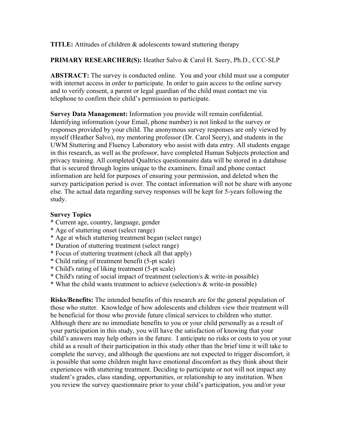**TITLE:** Attitudes of children & adolescents toward stuttering therapy

**PRIMARY RESEARCHER(S):** Heather Salvo & Carol H. Seery, Ph.D., CCC-SLP

**ABSTRACT:** The survey is conducted online. You and your child must use a computer with internet access in order to participate. In order to gain access to the online survey and to verify consent, a parent or legal guardian of the child must contact me via telephone to confirm their child's permission to participate.

**Survey Data Management:** Information you provide will remain confidential. Identifying information (your Email, phone number) is not linked to the survey or responses provided by your child. The anonymous survey responses are only viewed by myself (Heather Salvo), my mentoring professor (Dr. Carol Seery), and students in the UWM Stuttering and Fluency Laboratory who assist with data entry. All students engage in this research, as well as the professor, have completed Human Subjects protection and privacy training. All completed Qualtrics questionnaire data will be stored in a database that is secured through logins unique to the examiners. Email and phone contact information are held for purposes of ensuring your permission, and deleted when the survey participation period is over. The contact information will not be share with anyone else. The actual data regarding survey responses will be kept for 5-years following the study.

## **Survey Topics**

- \* Current age, country, language, gender
- \* Age of stuttering onset (select range)
- \* Age at which stuttering treatment began (select range)
- \* Duration of stuttering treatment (select range)
- \* Focus of stuttering treatment (check all that apply)
- \* Child rating of treatment benefit (5-pt scale)
- \* Child's rating of liking treatment (5-pt scale)
- \* Child's rating of social impact of treatment (selection/s & write-in possible)
- \* What the child wants treatment to achieve (selection/s & write-in possible)

**Risks/Benefits:** The intended benefits of this research are for the general population of those who stutter. Knowledge of how adolescents and children view their treatment will be beneficial for those who provide future clinical services to children who stutter. Although there are no immediate benefits to you or your child personally as a result of your participation in this study, you will have the satisfaction of knowing that your child's answers may help others in the future. I anticipate no risks or costs to you or your child as a result of their participation in this study other than the brief time it will take to complete the survey, and although the questions are not expected to trigger discomfort, it is possible that some children might have emotional discomfort as they think about their experiences with stuttering treatment. Deciding to participate or not will not impact any student's grades, class standing, opportunities, or relationship to any institution. When you review the survey questionnaire prior to your child's participation, you and/or your